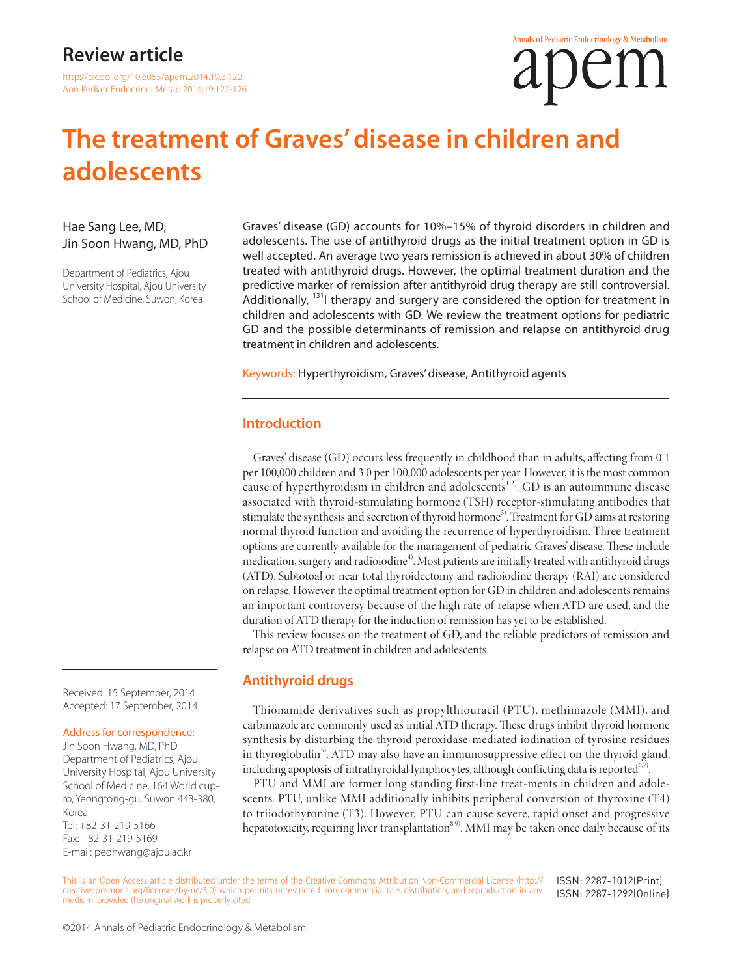http://dx.doi.org/10.6065/apem.2014.19.3.122 Ann Pediatr Endocrinol Metab 2014;19:122-126

# **The treatment of Graves' disease in children and adolescents**

#### Hae Sang Lee, MD, Jin Soon Hwang, MD, PhD

Department of Pediatrics, Ajou University Hospital, Ajou University School of Medicine, Suwon, Korea

Graves' disease (GD) accounts for 10%–15% of thyroid disorders in children and adolescents. The use of antithyroid drugs as the initial treatment option in GD is well accepted. An average two years remission is achieved in about 30% of children treated with antithyroid drugs. However, the optimal treatment duration and the predictive marker of remission after antithyroid drug therapy are still controversial. Additionally,  $131$  therapy and surgery are considered the option for treatment in children and adolescents with GD. We review the treatment options for pediatric GD and the possible determinants of remission and relapse on antithyroid drug treatment in children and adolescents.

Keywords: Hyperthyroidism, Graves' disease, Antithyroid agents

#### **Introduction**

Graves' disease (GD) occurs less frequently in childhood than in adults, affecting from 0.1 per 100,000 children and 3.0 per 100,000 adolescents per year. However, it is the most common cause of hyperthyroidism in children and adolescents<sup>1,2)</sup>. GD is an autoimmune disease associated with thyroid-stimulating hormone (TSH) receptor-stimulating antibodies that stimulate the synthesis and secretion of thyroid hormone<sup>3)</sup>. Treatment for GD aims at restoring normal thyroid function and avoiding the recurrence of hyperthyroidism. Three treatment options are currently available for the management of pediatric Graves' disease. These include medication, surgery and radioiodine<sup>4)</sup>. Most patients are initially treated with antithyroid drugs (ATD). Subtotoal or near total thyroidectomy and radioiodine therapy (RAI) are considered on relapse. However, the optimal treatment option for GD in children and adolescents remains an important controversy because of the high rate of relapse when ATD are used, and the duration of ATD therapy for the induction of remission has yet to be established.

This review focuses on the treatment of GD, and the reliable predictors of remission and relapse on ATD treatment in children and adolescents.

#### **Antithyroid drugs**

Thionamide derivatives such as propylthiouracil (PTU), methimazole (MMI), and carbimazole are commonly used as initial ATD therapy. These drugs inhibit thyroid hormone synthesis by disturbing the thyroid peroxidase-mediated iodination of tyrosine residues in thyroglobulin<sup>5)</sup>. ATD may also have an immunosuppressive effect on the thyroid gland, including apoptosis of intrathyroidal lymphocytes, although conflicting data is reported $6,7$ .

PTU and MMI are former long standing first-line treat-ments in children and adolescents. PTU, unlike MMI additionally inhibits peripheral conversion of thyroxine (T4) to triiodothyronine (T3). However, PTU can cause severe, rapid onset and progressive hepatotoxicity, requiring liver transplantation<sup>8,9)</sup>. MMI may be taken once daily because of its

This is an Open Access article distributed under the terms of the Creative Commons Attribution Non-Commercial License (http:// creativecommons.org/licenses/by-nc/3.0) which permits unrestricted non-commercial use, distribution, and reproduction in any medium, provided the original work is properly cited. ISSN: 2287-1012(Print) ISSN: 2287-1292(Online)

Received: 15 September, 2014 Accepted: 17 September, 2014

#### Address for correspondence:

Jin Soon Hwang, MD, PhD Department of Pediatrics, Ajou University Hospital, Ajou University School of Medicine, 164 World cupro, Yeongtong-gu, Suwon 443-380, Korea Tel: +82-31-219-5166 Fax: +82-31-219-5169 E-mail: pedhwang@ajou.ac.kr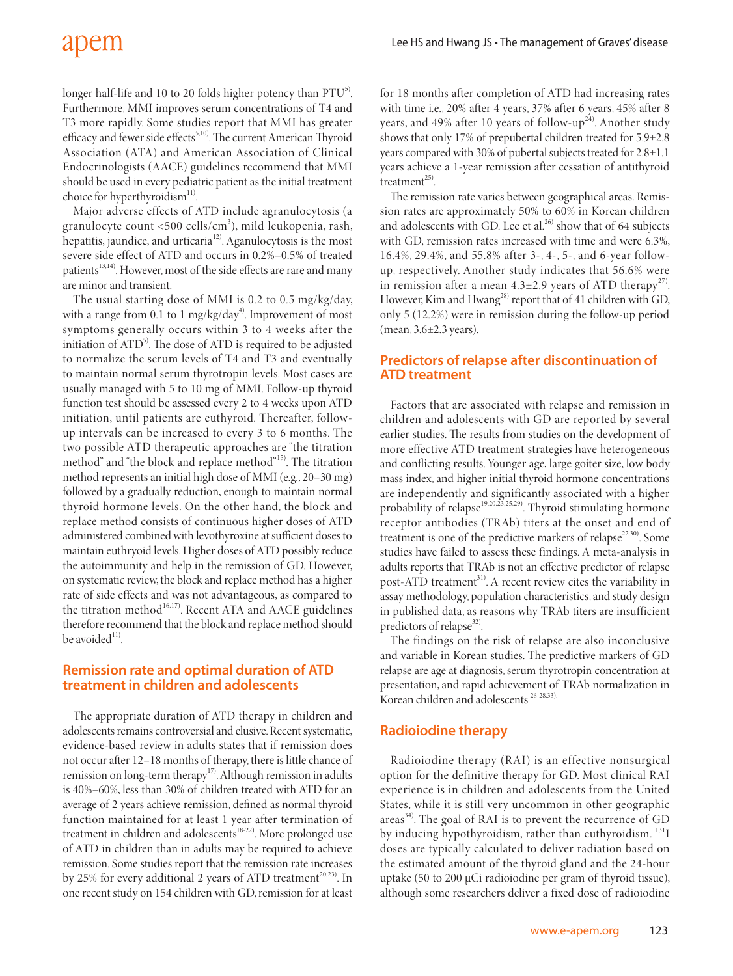longer half-life and 10 to 20 folds higher potency than  $PTU<sup>5</sup>$ . Furthermore, MMI improves serum concentrations of T4 and T3 more rapidly. Some studies report that MMI has greater efficacy and fewer side effects<sup>5,10)</sup>. The current American Thyroid Association (ATA) and American Association of Clinical Endocrinologists (AACE) guidelines recommend that MMI should be used in every pediatric patient as the initial treatment choice for hyperthyroidism<sup>11)</sup>.

Major adverse effects of ATD include agranulocytosis (a granulocyte count <500 cells/cm<sup>3</sup>), mild leukopenia, rash, hepatitis, jaundice, and urticaria<sup>12)</sup>. Aganulocytosis is the most severe side effect of ATD and occurs in 0.2%–0.5% of treated patients<sup>13,14)</sup>. However, most of the side effects are rare and many are minor and transient.

The usual starting dose of MMI is 0.2 to 0.5 mg/kg/day, with a range from 0.1 to 1 mg/kg/day<sup>4)</sup>. Improvement of most symptoms generally occurs within 3 to 4 weeks after the initiation of ATD<sup>5)</sup>. The dose of ATD is required to be adjusted to normalize the serum levels of T4 and T3 and eventually to maintain normal serum thyrotropin levels. Most cases are usually managed with 5 to 10 mg of MMI. Follow-up thyroid function test should be assessed every 2 to 4 weeks upon ATD initiation, until patients are euthyroid. Thereafter, followup intervals can be increased to every 3 to 6 months. The two possible ATD therapeutic approaches are "the titration method" and "the block and replace method"15). The titration method represents an initial high dose of MMI (e.g., 20–30 mg) followed by a gradually reduction, enough to maintain normal thyroid hormone levels. On the other hand, the block and replace method consists of continuous higher doses of ATD administered combined with levothyroxine at sufficient doses to maintain euthryoid levels. Higher doses of ATD possibly reduce the autoimmunity and help in the remission of GD. However, on systematic review, the block and replace method has a higher rate of side effects and was not advantageous, as compared to the titration method<sup>16,17)</sup>. Recent ATA and AACE guidelines therefore recommend that the block and replace method should be avoided $11$ .

### **Remission rate and optimal duration of ATD treatment in children and adolescents**

The appropriate duration of ATD therapy in children and adolescents remains controversial and elusive. Recent systematic, evidence-based review in adults states that if remission does not occur after 12–18 months of therapy, there is little chance of remission on long-term therapy<sup>17)</sup>. Although remission in adults is 40%–60%, less than 30% of children treated with ATD for an average of 2 years achieve remission, defined as normal thyroid function maintained for at least 1 year after termination of treatment in children and adolescents<sup>18-22)</sup>. More prolonged use of ATD in children than in adults may be required to achieve remission. Some studies report that the remission rate increases by 25% for every additional 2 years of ATD treatment<sup>20,23)</sup>. In one recent study on 154 children with GD, remission for at least

for 18 months after completion of ATD had increasing rates with time i.e., 20% after 4 years, 37% after 6 years, 45% after 8 years, and 49% after 10 years of follow-up<sup>24</sup>). Another study shows that only 17% of prepubertal children treated for 5.9±2.8 years compared with 30% of pubertal subjects treated for 2.8±1.1 years achieve a 1-year remission after cessation of antithyroid treatment $^{25)}$ .

The remission rate varies between geographical areas. Remission rates are approximately 50% to 60% in Korean children and adolescents with GD. Lee et al.<sup>26)</sup> show that of 64 subjects with GD, remission rates increased with time and were 6.3%, 16.4%, 29.4%, and 55.8% after 3-, 4-, 5-, and 6-year followup, respectively. Another study indicates that 56.6% were in remission after a mean  $4.3\pm2.9$  years of ATD therapy<sup>27)</sup>. However, Kim and Hwang<sup>28)</sup> report that of 41 children with GD, only 5 (12.2%) were in remission during the follow-up period (mean, 3.6±2.3 years).

### **Predictors of relapse after discontinuation of ATD treatment**

Factors that are associated with relapse and remission in children and adolescents with GD are reported by several earlier studies. The results from studies on the development of more effective ATD treatment strategies have heterogeneous and conflicting results. Younger age, large goiter size, low body mass index, and higher initial thyroid hormone concentrations are independently and significantly associated with a higher probability of relapse<sup>19,20,23,25,29)</sup>. Thyroid stimulating hormone receptor antibodies (TRAb) titers at the onset and end of treatment is one of the predictive markers of relapse<sup>22,30</sup>. Some studies have failed to assess these findings. A meta-analysis in adults reports that TRAb is not an effective predictor of relapse post-ATD treatment<sup>31)</sup>. A recent review cites the variability in assay methodology, population characteristics, and study design in published data, as reasons why TRAb titers are insufficient predictors of relapse<sup>32)</sup>.

The findings on the risk of relapse are also inconclusive and variable in Korean studies. The predictive markers of GD relapse are age at diagnosis, serum thyrotropin concentration at presentation, and rapid achievement of TRAb normalization in Korean children and adolescents<sup>26-28,33)</sup>

# **Radioiodine therapy**

Radioiodine therapy (RAI) is an effective nonsurgical option for the definitive therapy for GD. Most clinical RAI experience is in children and adolescents from the United States, while it is still very uncommon in other geographic  $\arccos^{34}$ . The goal of RAI is to prevent the recurrence of GD by inducing hypothyroidism, rather than euthyroidism. <sup>131</sup>I doses are typically calculated to deliver radiation based on the estimated amount of the thyroid gland and the 24-hour uptake (50 to 200 µCi radioiodine per gram of thyroid tissue), although some researchers deliver a fixed dose of radioiodine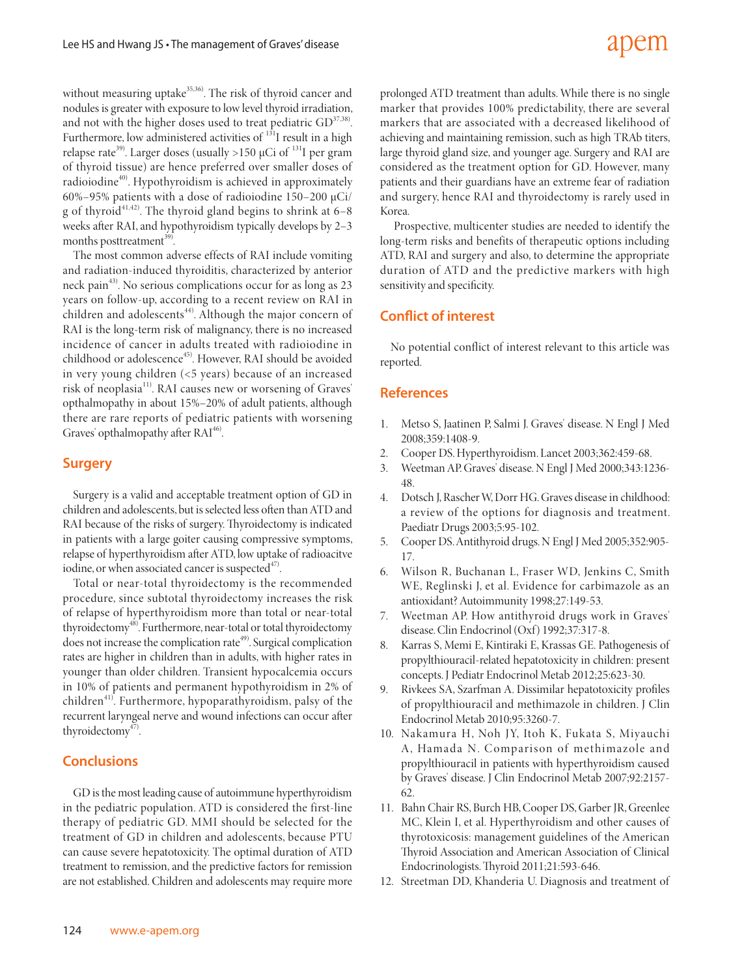# adem

without measuring uptake<sup>35,36</sup>. The risk of thyroid cancer and nodules is greater with exposure to low level thyroid irradiation, and not with the higher doses used to treat pediatric  $GD^{37,38}$ . Furthermore, low administered activities of <sup>131</sup>I result in a high relapse rate<sup>39)</sup>. Larger doses (usually >150 µCi of <sup>131</sup>I per gram of thyroid tissue) are hence preferred over smaller doses of radioiodine<sup>40)</sup>. Hypothyroidism is achieved in approximately 60%–95% patients with a dose of radioiodine 150–200 µCi/ g of thyroid<sup>41,42)</sup>. The thyroid gland begins to shrink at  $6-8$ weeks after RAI, and hypothyroidism typically develops by 2–3 months posttreatment<sup>39</sup>

The most common adverse effects of RAI include vomiting and radiation-induced thyroiditis, characterized by anterior neck pain<sup>43)</sup>. No serious complications occur for as long as 23 years on follow-up, according to a recent review on RAI in children and adolescents<sup>44)</sup>. Although the major concern of RAI is the long-term risk of malignancy, there is no increased incidence of cancer in adults treated with radioiodine in childhood or adolescence<sup>45)</sup>. However, RAI should be avoided in very young children (<5 years) because of an increased risk of neoplasia<sup>11)</sup>. RAI causes new or worsening of Graves' opthalmopathy in about 15%–20% of adult patients, although there are rare reports of pediatric patients with worsening Graves' opthalmopathy after  $RAI<sup>46</sup>$ .

### **Surgery**

Surgery is a valid and acceptable treatment option of GD in children and adolescents, but is selected less often than ATD and RAI because of the risks of surgery. Thyroidectomy is indicated in patients with a large goiter causing compressive symptoms, relapse of hyperthyroidism after ATD, low uptake of radioacitve iodine, or when associated cancer is suspected $47$ .

Total or near-total thyroidectomy is the recommended procedure, since subtotal thyroidectomy increases the risk of relapse of hyperthyroidism more than total or near-total thyroidectomy<sup>48)</sup>. Furthermore, near-total or total thyroidectomy does not increase the complication rate<sup>49</sup>. Surgical complication rates are higher in children than in adults, with higher rates in younger than older children. Transient hypocalcemia occurs in 10% of patients and permanent hypothyroidism in 2% of children<sup>41)</sup>. Furthermore, hypoparathyroidism, palsy of the recurrent laryngeal nerve and wound infections can occur after thyroidectomy<sup>47)</sup>.

# **Conclusions**

GD is the most leading cause of autoimmune hyperthyroidism in the pediatric population. ATD is considered the first-line therapy of pediatric GD. MMI should be selected for the treatment of GD in children and adolescents, because PTU can cause severe hepatotoxicity. The optimal duration of ATD treatment to remission, and the predictive factors for remission are not established. Children and adolescents may require more

prolonged ATD treatment than adults. While there is no single marker that provides 100% predictability, there are several markers that are associated with a decreased likelihood of achieving and maintaining remission, such as high TRAb titers, large thyroid gland size, and younger age. Surgery and RAI are considered as the treatment option for GD. However, many patients and their guardians have an extreme fear of radiation and surgery, hence RAI and thyroidectomy is rarely used in Korea.

 Prospective, multicenter studies are needed to identify the long-term risks and benefits of therapeutic options including ATD, RAI and surgery and also, to determine the appropriate duration of ATD and the predictive markers with high sensitivity and specificity.

# **Conflict of interest**

No potential conflict of interest relevant to this article was reported.

# **References**

- 1. Metso S, Jaatinen P, Salmi J. Graves' disease. N Engl J Med 2008;359:1408-9.
- 2. Cooper DS. Hyperthyroidism. Lancet 2003;362:459-68.
- 3. Weetman AP. Graves' disease. N Engl J Med 2000;343:1236- 48.
- 4. Dotsch J, Rascher W, Dorr HG. Graves disease in childhood: a review of the options for diagnosis and treatment. Paediatr Drugs 2003;5:95-102.
- 5. Cooper DS. Antithyroid drugs. N Engl J Med 2005;352:905- 17.
- 6. Wilson R, Buchanan L, Fraser WD, Jenkins C, Smith WE, Reglinski J, et al. Evidence for carbimazole as an antioxidant? Autoimmunity 1998;27:149-53.
- 7. Weetman AP. How antithyroid drugs work in Graves' disease. Clin Endocrinol (Oxf) 1992;37:317-8.
- 8. Karras S, Memi E, Kintiraki E, Krassas GE. Pathogenesis of propylthiouracil-related hepatotoxicity in children: present concepts. J Pediatr Endocrinol Metab 2012;25:623-30.
- 9. Rivkees SA, Szarfman A. Dissimilar hepatotoxicity profiles of propylthiouracil and methimazole in children. J Clin Endocrinol Metab 2010;95:3260-7.
- 10. Nakamura H, Noh JY, Itoh K, Fukata S, Miyauchi A, Hamada N. Comparison of methimazole and propylthiouracil in patients with hyperthyroidism caused by Graves' disease. J Clin Endocrinol Metab 2007;92:2157- 62.
- 11. Bahn Chair RS, Burch HB, Cooper DS, Garber JR, Greenlee MC, Klein I, et al. Hyperthyroidism and other causes of thyrotoxicosis: management guidelines of the American Thyroid Association and American Association of Clinical Endocrinologists. Thyroid 2011;21:593-646.
- 12. Streetman DD, Khanderia U. Diagnosis and treatment of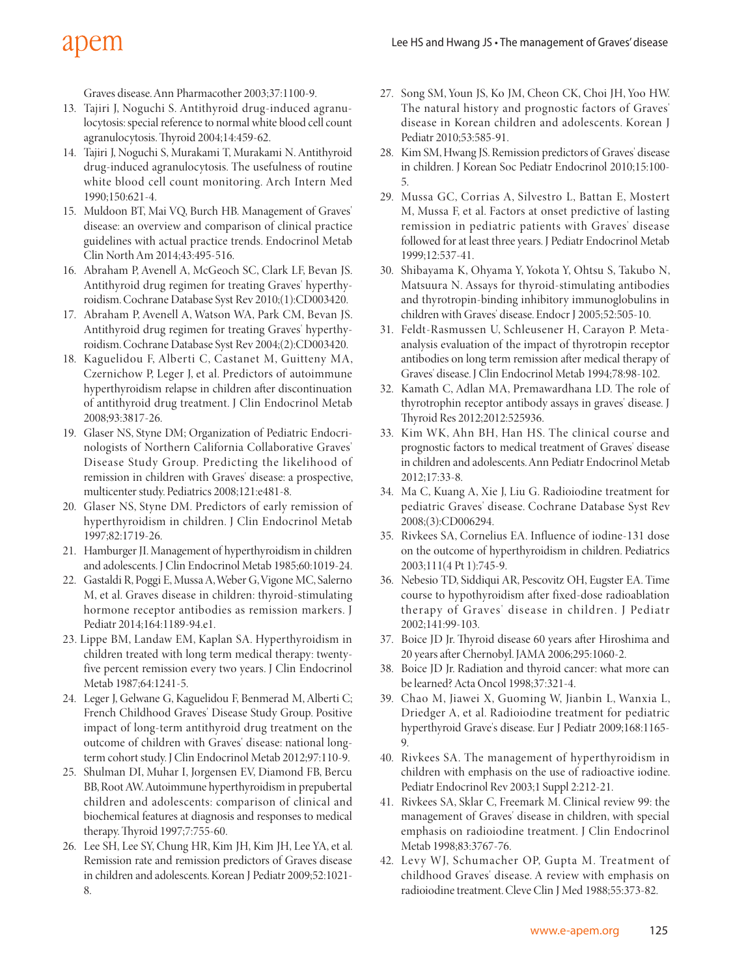# apem

Graves disease. Ann Pharmacother 2003;37:1100-9.

- 13. Tajiri J, Noguchi S. Antithyroid drug-induced agranulocytosis: special reference to normal white blood cell count agranulocytosis. Thyroid 2004;14:459-62.
- 14. Tajiri J, Noguchi S, Murakami T, Murakami N. Antithyroid drug-induced agranulocytosis. The usefulness of routine white blood cell count monitoring. Arch Intern Med 1990;150:621-4.
- 15. Muldoon BT, Mai VQ, Burch HB. Management of Graves' disease: an overview and comparison of clinical practice guidelines with actual practice trends. Endocrinol Metab Clin North Am 2014;43:495-516.
- 16. Abraham P, Avenell A, McGeoch SC, Clark LF, Bevan JS. Antithyroid drug regimen for treating Graves' hyperthyroidism. Cochrane Database Syst Rev 2010;(1):CD003420.
- 17. Abraham P, Avenell A, Watson WA, Park CM, Bevan JS. Antithyroid drug regimen for treating Graves' hyperthyroidism. Cochrane Database Syst Rev 2004;(2):CD003420.
- 18. Kaguelidou F, Alberti C, Castanet M, Guitteny MA, Czernichow P, Leger J, et al. Predictors of autoimmune hyperthyroidism relapse in children after discontinuation of antithyroid drug treatment. J Clin Endocrinol Metab 2008;93:3817-26.
- 19. Glaser NS, Styne DM; Organization of Pediatric Endocrinologists of Northern California Collaborative Graves' Disease Study Group. Predicting the likelihood of remission in children with Graves' disease: a prospective, multicenter study. Pediatrics 2008;121:e481-8.
- 20. Glaser NS, Styne DM. Predictors of early remission of hyperthyroidism in children. J Clin Endocrinol Metab 1997;82:1719-26.
- 21. Hamburger JI. Management of hyperthyroidism in children and adolescents. J Clin Endocrinol Metab 1985;60:1019-24.
- 22. Gastaldi R, Poggi E, Mussa A, Weber G, Vigone MC, Salerno M, et al. Graves disease in children: thyroid-stimulating hormone receptor antibodies as remission markers. J Pediatr 2014;164:1189-94.e1.
- 23. Lippe BM, Landaw EM, Kaplan SA. Hyperthyroidism in children treated with long term medical therapy: twentyfive percent remission every two years. J Clin Endocrinol Metab 1987;64:1241-5.
- 24. Leger J, Gelwane G, Kaguelidou F, Benmerad M, Alberti C; French Childhood Graves' Disease Study Group. Positive impact of long-term antithyroid drug treatment on the outcome of children with Graves' disease: national longterm cohort study. J Clin Endocrinol Metab 2012;97:110-9.
- 25. Shulman DI, Muhar I, Jorgensen EV, Diamond FB, Bercu BB, Root AW. Autoimmune hyperthyroidism in prepubertal children and adolescents: comparison of clinical and biochemical features at diagnosis and responses to medical therapy. Thyroid 1997;7:755-60.
- 26. Lee SH, Lee SY, Chung HR, Kim JH, Kim JH, Lee YA, et al. Remission rate and remission predictors of Graves disease in children and adolescents. Korean J Pediatr 2009;52:1021- 8.
- 27. Song SM, Youn JS, Ko JM, Cheon CK, Choi JH, Yoo HW. The natural history and prognostic factors of Graves' disease in Korean children and adolescents. Korean J Pediatr 2010;53:585-91.
- 28. Kim SM, Hwang JS. Remission predictors of Graves' disease in children. J Korean Soc Pediatr Endocrinol 2010;15:100- 5.
- 29. Mussa GC, Corrias A, Silvestro L, Battan E, Mostert M, Mussa F, et al. Factors at onset predictive of lasting remission in pediatric patients with Graves' disease followed for at least three years. J Pediatr Endocrinol Metab 1999;12:537-41.
- 30. Shibayama K, Ohyama Y, Yokota Y, Ohtsu S, Takubo N, Matsuura N. Assays for thyroid-stimulating antibodies and thyrotropin-binding inhibitory immunoglobulins in children with Graves' disease. Endocr J 2005;52:505-10.
- 31. Feldt-Rasmussen U, Schleusener H, Carayon P. Metaanalysis evaluation of the impact of thyrotropin receptor antibodies on long term remission after medical therapy of Graves' disease. J Clin Endocrinol Metab 1994;78:98-102.
- 32. Kamath C, Adlan MA, Premawardhana LD. The role of thyrotrophin receptor antibody assays in graves' disease. J Thyroid Res 2012;2012:525936.
- 33. Kim WK, Ahn BH, Han HS. The clinical course and prognostic factors to medical treatment of Graves' disease in children and adolescents. Ann Pediatr Endocrinol Metab 2012;17:33-8.
- 34. Ma C, Kuang A, Xie J, Liu G. Radioiodine treatment for pediatric Graves' disease. Cochrane Database Syst Rev 2008;(3):CD006294.
- 35. Rivkees SA, Cornelius EA. Influence of iodine-131 dose on the outcome of hyperthyroidism in children. Pediatrics 2003;111(4 Pt 1):745-9.
- 36. Nebesio TD, Siddiqui AR, Pescovitz OH, Eugster EA. Time course to hypothyroidism after fixed-dose radioablation therapy of Graves' disease in children. J Pediatr 2002;141:99-103.
- 37. Boice JD Jr. Thyroid disease 60 years after Hiroshima and 20 years after Chernobyl. JAMA 2006;295:1060-2.
- 38. Boice JD Jr. Radiation and thyroid cancer: what more can be learned? Acta Oncol 1998;37:321-4.
- 39. Chao M, Jiawei X, Guoming W, Jianbin L, Wanxia L, Driedger A, et al. Radioiodine treatment for pediatric hyperthyroid Grave's disease. Eur J Pediatr 2009;168:1165- 9.
- 40. Rivkees SA. The management of hyperthyroidism in children with emphasis on the use of radioactive iodine. Pediatr Endocrinol Rev 2003;1 Suppl 2:212-21.
- 41. Rivkees SA, Sklar C, Freemark M. Clinical review 99: the management of Graves' disease in children, with special emphasis on radioiodine treatment. J Clin Endocrinol Metab 1998;83:3767-76.
- 42. Levy WJ, Schumacher OP, Gupta M. Treatment of childhood Graves' disease. A review with emphasis on radioiodine treatment. Cleve Clin J Med 1988;55:373-82.